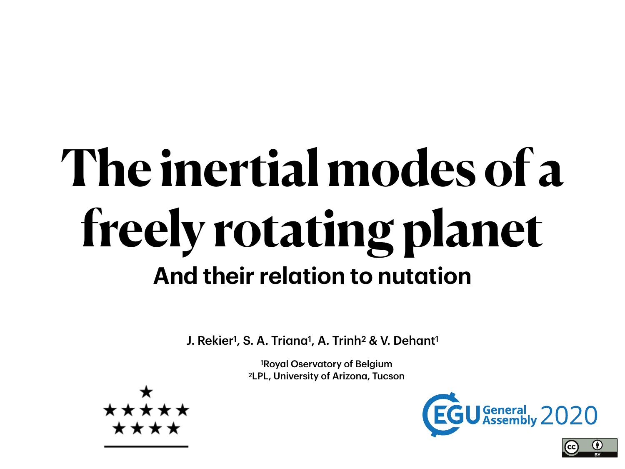## **The inertial modes of a freely rotating planet And their relation to nutation**

J. Rekier<sup>1</sup>, S. A. Triana<sup>1</sup>, A. Trinh<sup>2</sup> & V. Dehant<sup>1</sup>

1Royal Oservatory of Belgium 2LPL, University of Arizona, Tucson



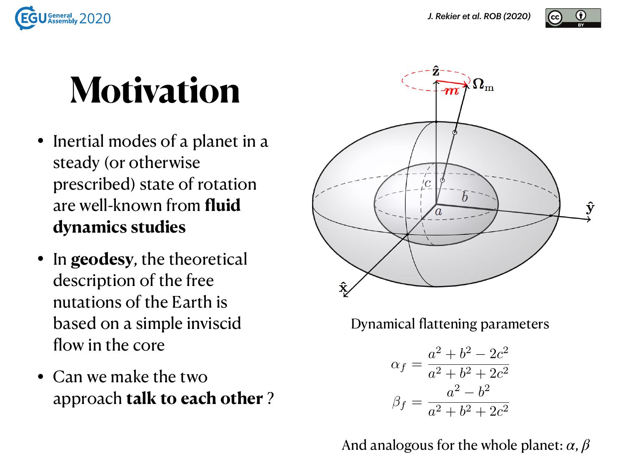

## **Motivation**

- Inertial modes of a planet in a steady (or otherwise prescribed) state of rotation are well-known from **fluid dynamics studies**
- In **geodesy**, the theoretical description of the free nutations of the Earth is based on a simple inviscid flow in the core
- Can we make the two approach **talk to each other** ?



Dynamical flattening parameters

$$
\alpha_f = \frac{a^2 + b^2 - 2c^2}{a^2 + b^2 + 2c^2}
$$

$$
\beta_f = \frac{a^2 - b^2}{a^2 + b^2 + 2c^2}
$$

And analogous for the whole planet: *α*, *β*

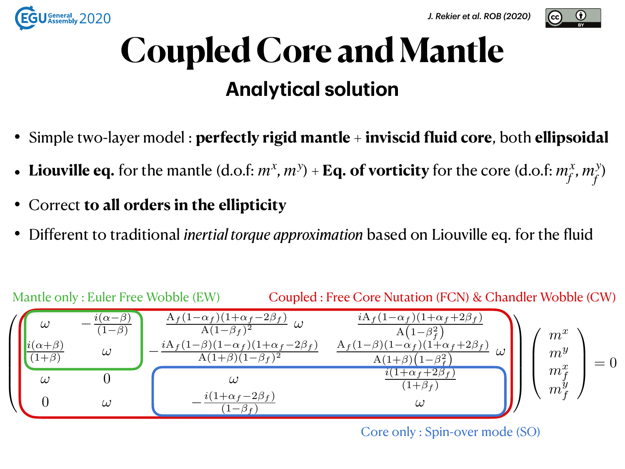



### **Coupled Core and Mantle Analytical solution**

- Simple two-layer model : **perfectly rigid mantle** + **inviscid fluid core**, both **ellipsoidal**
- Liouville eq. for the mantle  $(d.o.f: m^x, m^y) + Eq.$  of vorticity for the core  $(d.o.f: m_f^x, m_f^y)$
- Correct **to all orders in the ellipticity**
- Different to traditional *inertial torque approximation* based on Liouville eq. for the fluid



Core only : Spin-over mode (SO)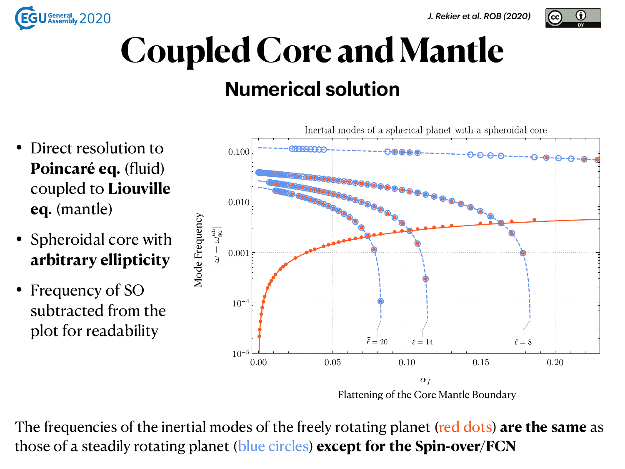



#### **Numerical solution**

- Direct resolution to **Poincaré eq.** (fluid) coupled to **Liouville eq.** (mantle)
- Spheroidal core with **arbitrary ellipticity**
- Frequency of SO subtracted from the plot for readability



The frequencies of the inertial modes of the freely rotating planet (red dots) **are the same** as those of a steadily rotating planet (blue circles) **except for the Spin-over/FCN**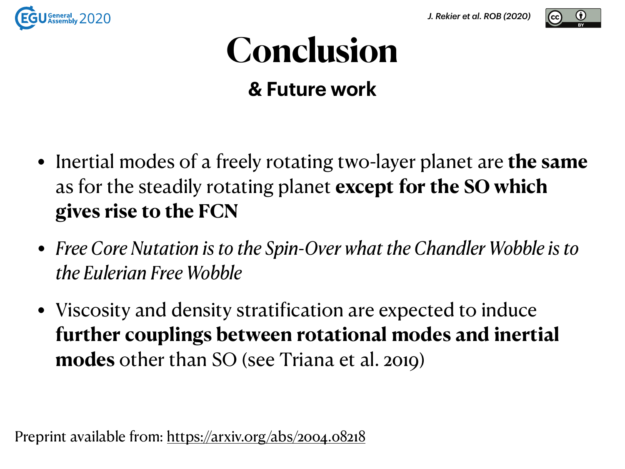

## **Conclusion**

**& Future work**

- Inertial modes of a freely rotating two-layer planet are **the same** as for the steadily rotating planet **except for the SO which gives rise to the FCN**
- *• Free Core Nutation is to the Spin-Over what the Chandler Wobble is to the Eulerian Free Wobble*
- Viscosity and density stratification are expected to induce **further couplings between rotational modes and inertial modes** other than SO (see Triana et al. 2019)

Preprint available from:<https://arxiv.org/abs/2004.08218>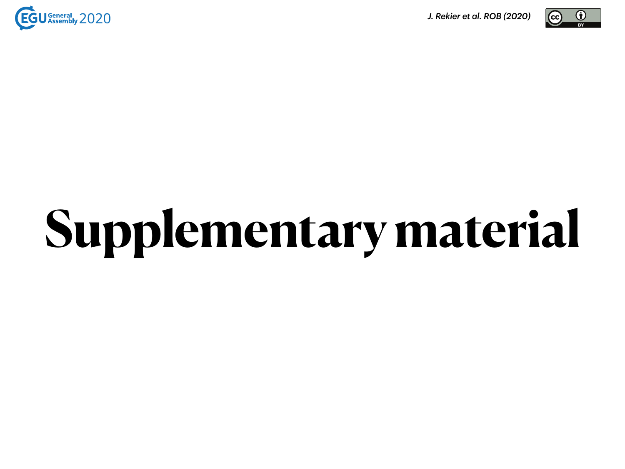

*J. Rekier et al. ROB (2020)*



# **Supplementary material**